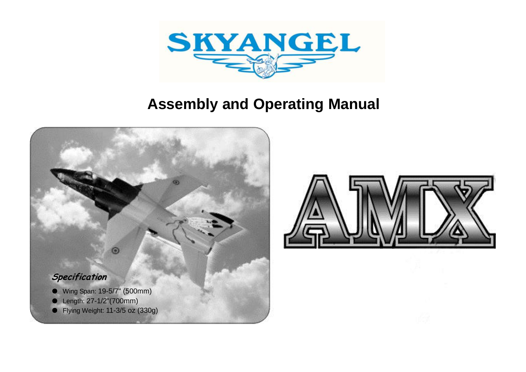



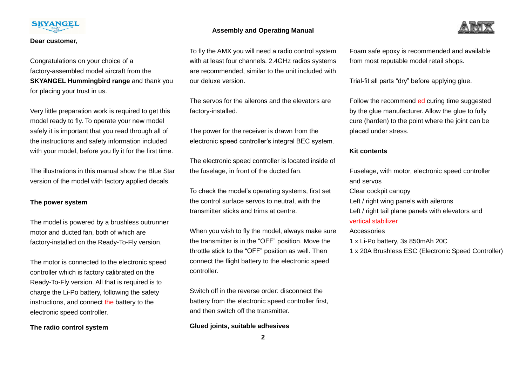



#### **Dear customer,**

Congratulations on your choice of a factory-assembled model aircraft from the **SKYANGEL Hummingbird range** and thank you for placing your trust in us.

Very little preparation work is required to get this model ready to fly. To operate your new model safely it is important that you read through all of the instructions and safety information included with your model, before you fly it for the first time.

The illustrations in this manual show the Blue Star version of the model with factory applied decals.

#### **The power system**

The model is powered by a brushless outrunner motor and ducted fan, both of which are factory-installed on the Ready-To-Fly version.

The motor is connected to the electronic speed controller which is factory calibrated on the Ready-To-Fly version. All that is required is to charge the Li-Po battery, following the safety instructions, and connect the battery to the electronic speed controller.

**The radio control system** 

To fly the AMX you will need a radio control system with at least four channels. 2.4GHz radios systems are recommended, similar to the unit included with our deluxe version.

The servos for the ailerons and the elevators are factory-installed.

The power for the receiver is drawn from the electronic speed controller's integral BEC system.

The electronic speed controller is located inside of the fuselage, in front of the ducted fan.

To check the model's operating systems, first set the control surface servos to neutral, with the transmitter sticks and trims at centre.

When you wish to fly the model, always make sure the transmitter is in the "OFF" position. Move the throttle stick to the "OFF" position as well. Then connect the flight battery to the electronic speed controller.

Switch off in the reverse order: disconnect the battery from the electronic speed controller first, and then switch off the transmitter.

#### **Glued joints, suitable adhesives**

Foam safe epoxy is recommended and available from most reputable model retail shops.

Trial-fit all parts "dry" before applying glue.

Follow the recommend ed curing time suggested by the glue manufacturer. Allow the glue to fully cure (harden) to the point where the joint can be placed under stress.

#### **Kit contents**

Fuselage, with motor, electronic speed controller and servos Clear cockpit canopy Left / right wing panels with ailerons Left / right tail plane panels with elevators and vertical stabilizer Accessories

1 x Li-Po battery, 3s 850mAh 20C

1 x 20A Brushless ESC (Electronic Speed Controller)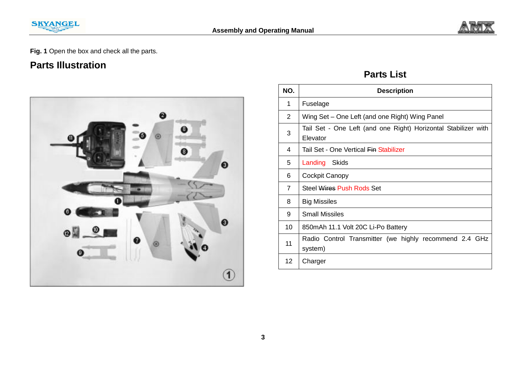



**Fig. 1** Open the box and check all the parts.

# **Parts Illustration**



# **Parts List**

| NO.             | <b>Description</b>                                                         |  |  |  |
|-----------------|----------------------------------------------------------------------------|--|--|--|
| 1               | Fuselage                                                                   |  |  |  |
| 2               | Wing Set – One Left (and one Right) Wing Panel                             |  |  |  |
| 3               | Tail Set - One Left (and one Right) Horizontal Stabilizer with<br>Elevator |  |  |  |
| 4               | Tail Set - One Vertical Ein Stabilizer                                     |  |  |  |
| 5               | Landing<br>Skids                                                           |  |  |  |
| 6               | Cockpit Canopy                                                             |  |  |  |
| $\overline{7}$  | Steel Wires Push Rods Set                                                  |  |  |  |
| 8               | <b>Big Missiles</b>                                                        |  |  |  |
| 9               | <b>Small Missiles</b>                                                      |  |  |  |
| 10              | 850mAh 11.1 Volt 20C Li-Po Battery                                         |  |  |  |
| 11              | Radio Control Transmitter (we highly recommend 2.4 GHz<br>system)          |  |  |  |
| 12 <sup>°</sup> | Charger                                                                    |  |  |  |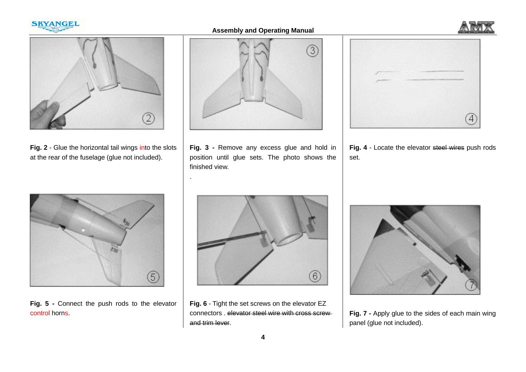





**Fig. 2** - Glue the horizontal tail wings into the slots at the rear of the fuselage (glue not included).



**Fig. 3 -** Remove any excess glue and hold in position until glue sets. The photo shows the finished view.

.

**Fig. 4** - Locate the elevator steel wires push rods set.



**Fig. 5 -** Connect the push rods to the elevator control horns.



**Fig. 6** - Tight the set screws on the elevator EZ connectors . elevator steel wire with cross screw and trim lever.



**Fig. 7 -** Apply glue to the sides of each main wing panel (glue not included).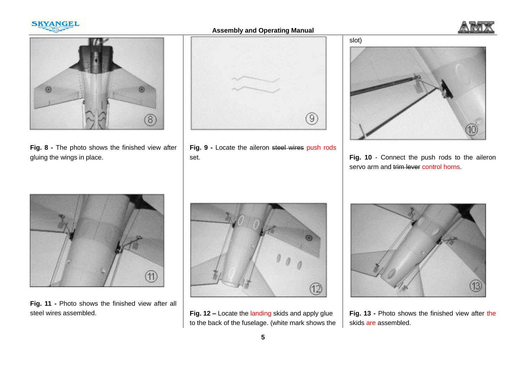





**Fig. 8 -** The photo shows the finished view after gluing the wings in place.



**Fig. 9 -** Locate the aileron steel wires push rods set.



**Fig. 10** - Connect the push rods to the aileron servo arm and trim lever control horns.



**Fig. 11 -** Photo shows the finished view after all steel wires assembled.



**Fig. 12 –** Locate the landing skids and apply glue to the back of the fuselage. (white mark shows the



**Fig. 13 -** Photo shows the finished view after the skids are assembled.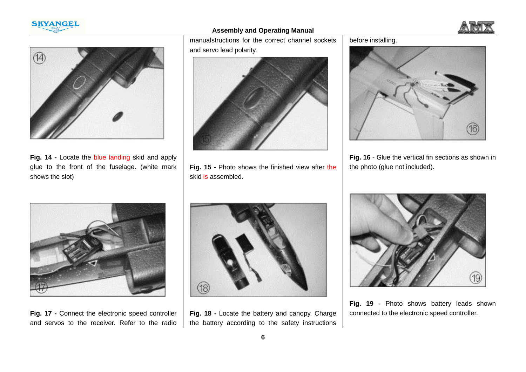





**Fig. 14 -** Locate the blue landing skid and apply glue to the front of the fuselage. (white mark shows the slot)

manualstructions for the correct channel sockets and servo lead polarity.



**Fig. 15 -** Photo shows the finished view after the skid is assembled.

before installing.



**Fig. 16** - Glue the vertical fin sections as shown in the photo (glue not included).



**Fig. 17 -** Connect the electronic speed controller and servos to the receiver. Refer to the radio



**Fig. 18 -** Locate the battery and canopy. Charge the battery according to the safety instructions



**Fig. 19 -** Photo shows battery leads shown connected to the electronic speed controller.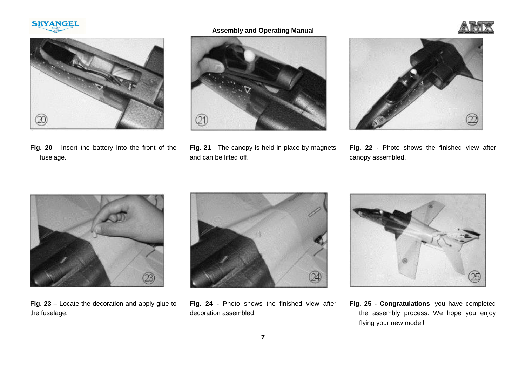

**Assembly and Operating Manual**





**Fig. 20** - Insert the battery into the front of the fuselage.



**Fig. 21** - The canopy is held in place by magnets and can be lifted off.



**Fig. 22 -** Photo shows the finished view after canopy assembled.



**Fig. 23 –** Locate the decoration and apply glue to the fuselage.



**Fig. 24 -** Photo shows the finished view after decoration assembled.



**Fig. 25 - Congratulations**, you have completed the assembly process. We hope you enjoy flying your new model!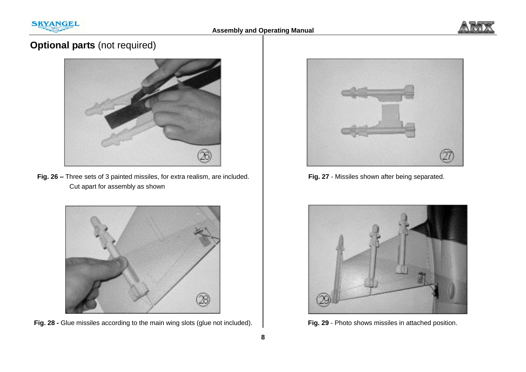



# **Optional parts** (not required)



**Fig. 26 –** Three sets of 3 painted missiles, for extra realism, are included. Cut apart for assembly as shown



**Fig. 28 -** Glue missiles according to the main wing slots (glue not included).



**Fig. 27** - Missiles shown after being separated.



**Fig. 29** - Photo shows missiles in attached position.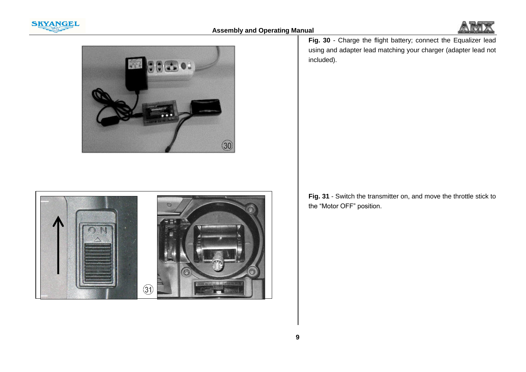





**Fig. 30** - Charge the flight battery; connect the Equalizer lead using and adapter lead matching your charger (adapter lead not included).



**Fig. 31** - Switch the transmitter on, and move the throttle stick to the "Motor OFF" position.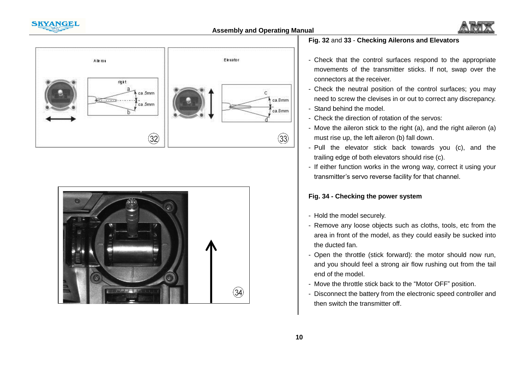







### **Fig. 32** and **33** - **Checking Ailerons and Elevators**

- Check that the control surfaces respond to the appropriate movements of the transmitter sticks. If not, swap over the connectors at the receiver.
- Check the neutral position of the control surfaces; you may need to screw the clevises in or out to correct any discrepancy.
- Stand behind the model.
- Check the direction of rotation of the servos:
- Move the aileron stick to the right (a), and the right aileron (a) must rise up, the left aileron (b) fall down.
- Pull the elevator stick back towards you (c), and the trailing edge of both elevators should rise (c).
- If either function works in the wrong way, correct it using your transmitter's servo reverse facility for that channel.

### **Fig. 34 - Checking the power system**

- Hold the model securely.
- Remove any loose objects such as cloths, tools, etc from the area in front of the model, as they could easily be sucked into the ducted fan.
- Open the throttle (stick forward): the motor should now run, and you should feel a strong air flow rushing out from the tail end of the model.
- Move the throttle stick back to the "Motor OFF" position.
- Disconnect the battery from the electronic speed controller and then switch the transmitter off.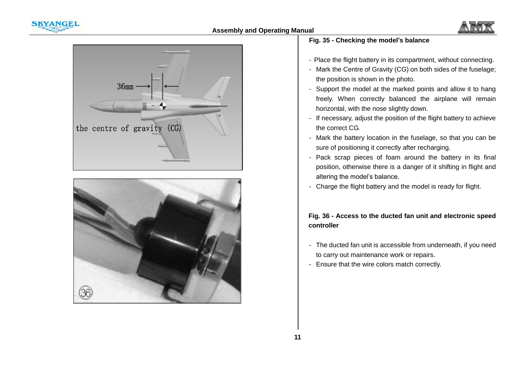







# **Fig. 35 - Checking the model's balance**

- Place the flight battery in its compartment, without connecting.
- Mark the Centre of Gravity (CG) on both sides of the fuselage; the position is shown in the photo.
- Support the model at the marked points and allow it to hang freely. When correctly balanced the airplane will remain horizontal, with the nose slightly down.
- If necessary, adjust the position of the flight battery to achieve the correct CG.
- Mark the battery location in the fuselage, so that you can be sure of positioning it correctly after recharging.
- Pack scrap pieces of foam around the battery in its final position, otherwise there is a danger of it shifting in flight and altering the model's balance.
- Charge the flight battery and the model is ready for flight.

### **Fig. 36 - Access to the ducted fan unit and electronic speed controller**

- The ducted fan unit is accessible from underneath, if you need to carry out maintenance work or repairs.
- Ensure that the wire colors match correctly.